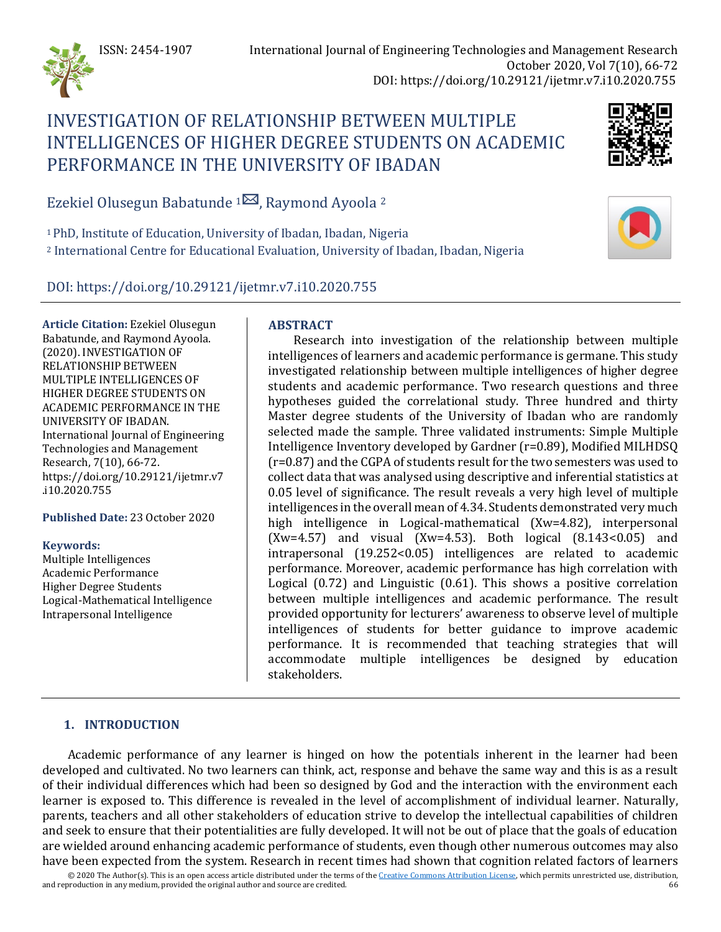

# INVESTIGATION OF RELATIONSHIP BETWEEN MULTIPLE INTELLIGENCES OF HIGHER DEGREE STUDENTS ON ACADEMIC PERFORMANCE IN THE UNIVERSITY OF IBADAN



Ezekiel Olusegun Babatunde <sup>[1](mailto:babatundeezekiel11@gmail.com) $\boxtimes$ </sup>, Raymond Ayoola <sup>2</sup>

1 PhD, Institute of Education, University of Ibadan, Ibadan, Nigeria <sup>2</sup> International Centre for Educational Evaluation, University of Ibadan, Ibadan, Nigeria

DOI: https://doi.org/10.29121/ijetmr.v7.i10.2020.755

**Article Citation:** Ezekiel Olusegun Babatunde, and Raymond Ayoola. (2020). INVESTIGATION OF RELATIONSHIP BETWEEN MULTIPLE INTELLIGENCES OF HIGHER DEGREE STUDENTS ON ACADEMIC PERFORMANCE IN THE UNIVERSITY OF IBADAN. International Journal of Engineering Technologies and Management Research, 7(10), 66-72. https://doi.org/10.29121/ijetmr.v7 .i10.2020.755

**Published Date:** 23 October 2020

#### **Keywords:**

Multiple Intelligences Academic Performance Higher Degree Students Logical-Mathematical Intelligence Intrapersonal Intelligence

## **ABSTRACT**

Research into investigation of the relationship between multiple intelligences of learners and academic performance is germane. This study investigated relationship between multiple intelligences of higher degree students and academic performance. Two research questions and three hypotheses guided the correlational study. Three hundred and thirty Master degree students of the University of Ibadan who are randomly selected made the sample. Three validated instruments: Simple Multiple Intelligence Inventory developed by Gardner (r=0.89), Modified MILHDSQ (r=0.87) and the CGPA of students result for the two semesters was used to collect data that was analysed using descriptive and inferential statistics at 0.05 level of significance. The result reveals a very high level of multiple intelligences in the overall mean of 4.34. Students demonstrated very much high intelligence in Logical-mathematical (Xw=4.82), interpersonal  $(Xw=4.57)$  and visual  $(Xw=4.53)$ . Both logical  $(8.143<0.05)$  and intrapersonal (19.252<0.05) intelligences are related to academic performance. Moreover, academic performance has high correlation with Logical (0.72) and Linguistic (0.61). This shows a positive correlation between multiple intelligences and academic performance. The result provided opportunity for lecturers' awareness to observe level of multiple intelligences of students for better guidance to improve academic performance. It is recommended that teaching strategies that will accommodate multiple intelligences be designed by education stakeholders.

## **1. INTRODUCTION**

Academic performance of any learner is hinged on how the potentials inherent in the learner had been developed and cultivated. No two learners can think, act, response and behave the same way and this is as a result of their individual differences which had been so designed by God and the interaction with the environment each learner is exposed to. This difference is revealed in the level of accomplishment of individual learner. Naturally, parents, teachers and all other stakeholders of education strive to develop the intellectual capabilities of children and seek to ensure that their potentialities are fully developed. It will not be out of place that the goals of education are wielded around enhancing academic performance of students, even though other numerous outcomes may also have been expected from the system. Research in recent times had shown that cognition related factors of learners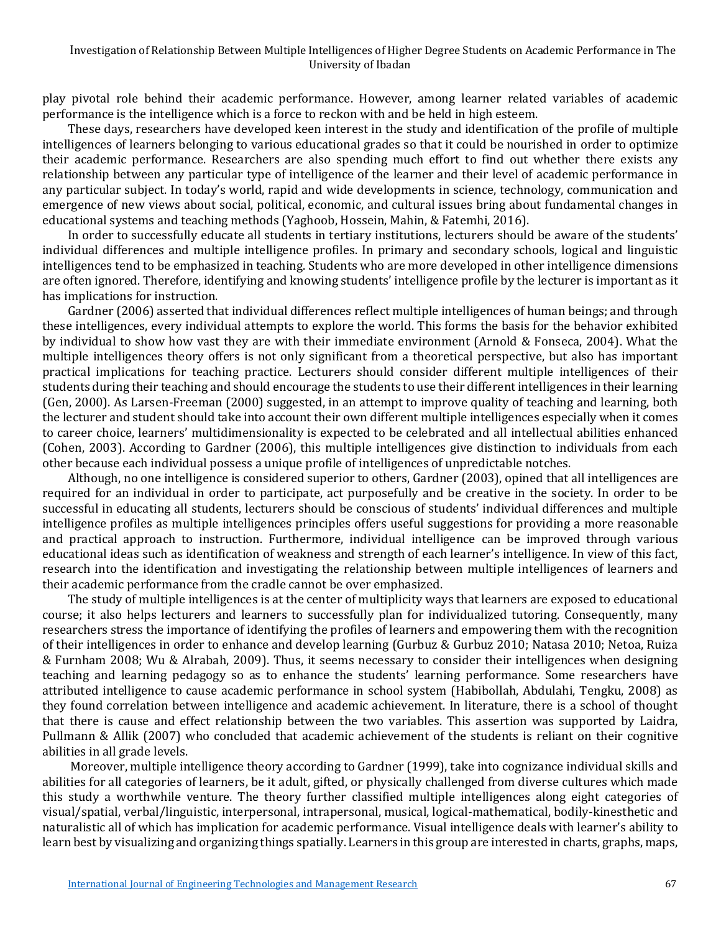#### Investigation of Relationship Between Multiple Intelligences of Higher Degree Students on Academic Performance in The University of Ibadan

play pivotal role behind their academic performance. However, among learner related variables of academic performance is the intelligence which is a force to reckon with and be held in high esteem.

These days, researchers have developed keen interest in the study and identification of the profile of multiple intelligences of learners belonging to various educational grades so that it could be nourished in order to optimize their academic performance. Researchers are also spending much effort to find out whether there exists any relationship between any particular type of intelligence of the learner and their level of academic performance in any particular subject. In today's world, rapid and wide developments in science, technology, communication and emergence of new views about social, political, economic, and cultural issues bring about fundamental changes in educational systems and teaching methods (Yaghoob, Hossein, Mahin, & Fatemhi, 2016).

In order to successfully educate all students in tertiary institutions, lecturers should be aware of the students' individual differences and multiple intelligence profiles. In primary and secondary schools, logical and linguistic intelligences tend to be emphasized in teaching. Students who are more developed in other intelligence dimensions are often ignored. Therefore, identifying and knowing students' intelligence profile by the lecturer is important as it has implications for instruction.

Gardner (2006) asserted that individual differences reflect multiple intelligences of human beings; and through these intelligences, every individual attempts to explore the world. This forms the basis for the behavior exhibited by individual to show how vast they are with their immediate environment (Arnold & Fonseca, 2004). What the multiple intelligences theory offers is not only significant from a theoretical perspective, but also has important practical implications for teaching practice. Lecturers should consider different multiple intelligences of their students during their teaching and should encourage the students to use their different intelligences in their learning (Gen, 2000). As Larsen-Freeman (2000) suggested, in an attempt to improve quality of teaching and learning, both the lecturer and student should take into account their own different multiple intelligences especially when it comes to career choice, learners' multidimensionality is expected to be celebrated and all intellectual abilities enhanced (Cohen, 2003). According to Gardner (2006), this multiple intelligences give distinction to individuals from each other because each individual possess a unique profile of intelligences of unpredictable notches.

Although, no one intelligence is considered superior to others, Gardner (2003), opined that all intelligences are required for an individual in order to participate, act purposefully and be creative in the society. In order to be successful in educating all students, lecturers should be conscious of students' individual differences and multiple intelligence profiles as multiple intelligences principles offers useful suggestions for providing a more reasonable and practical approach to instruction. Furthermore, individual intelligence can be improved through various educational ideas such as identification of weakness and strength of each learner's intelligence. In view of this fact, research into the identification and investigating the relationship between multiple intelligences of learners and their academic performance from the cradle cannot be over emphasized.

The study of multiple intelligences is at the center of multiplicity ways that learners are exposed to educational course; it also helps lecturers and learners to successfully plan for individualized tutoring. Consequently, many researchers stress the importance of identifying the profiles of learners and empowering them with the recognition of their intelligences in order to enhance and develop learning (Gurbuz & Gurbuz 2010; Natasa 2010; Netoa, Ruiza & Furnham 2008; Wu & Alrabah, 2009). Thus, it seems necessary to consider their intelligences when designing teaching and learning pedagogy so as to enhance the students' learning performance. Some researchers have attributed intelligence to cause academic performance in school system (Habibollah, Abdulahi, Tengku, 2008) as they found correlation between intelligence and academic achievement. In literature, there is a school of thought that there is cause and effect relationship between the two variables. This assertion was supported by Laidra, Pullmann & Allik (2007) who concluded that academic achievement of the students is reliant on their cognitive abilities in all grade levels.

Moreover, multiple intelligence theory according to Gardner (1999), take into cognizance individual skills and abilities for all categories of learners, be it adult, gifted, or physically challenged from diverse cultures which made this study a worthwhile venture. The theory further classified multiple intelligences along eight categories of visual/spatial, verbal/linguistic, interpersonal, intrapersonal, musical, logical-mathematical, bodily-kinesthetic and naturalistic all of which has implication for academic performance. Visual intelligence deals with learner's ability to learn best by visualizing and organizing things spatially. Learners in this group are interested in charts, graphs, maps,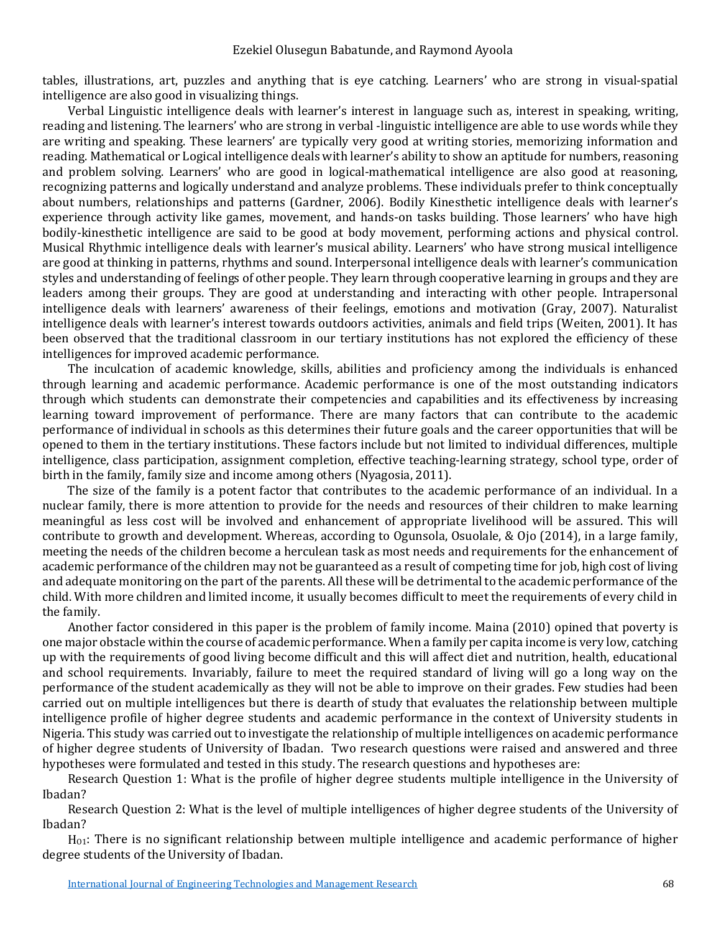tables, illustrations, art, puzzles and anything that is eye catching. Learners' who are strong in visual-spatial intelligence are also good in visualizing things.

Verbal Linguistic intelligence deals with learner's interest in language such as, interest in speaking, writing, reading and listening. The learners' who are strong in verbal -linguistic intelligence are able to use words while they are writing and speaking. These learners' are typically very good at writing stories, memorizing information and reading. Mathematical or Logical intelligence deals with learner's ability to show an aptitude for numbers, reasoning and problem solving. Learners' who are good in logical-mathematical intelligence are also good at reasoning, recognizing patterns and logically understand and analyze problems. These individuals prefer to think conceptually about numbers, relationships and patterns (Gardner, 2006). Bodily Kinesthetic intelligence deals with learner's experience through activity like games, movement, and hands-on tasks building. Those learners' who have high bodily-kinesthetic intelligence are said to be good at body movement, performing actions and physical control. Musical Rhythmic intelligence deals with learner's musical ability. Learners' who have strong musical intelligence are good at thinking in patterns, rhythms and sound. Interpersonal intelligence deals with learner's communication styles and understanding of feelings of other people. They learn through cooperative learning in groups and they are leaders among their groups. They are good at understanding and interacting with other people. Intrapersonal intelligence deals with learners' awareness of their feelings, emotions and motivation (Gray, 2007). Naturalist intelligence deals with learner's interest towards outdoors activities, animals and field trips (Weiten, 2001). It has been observed that the traditional classroom in our tertiary institutions has not explored the efficiency of these intelligences for improved academic performance.

The inculcation of academic knowledge, skills, abilities and proficiency among the individuals is enhanced through learning and academic performance. Academic performance is one of the most outstanding indicators through which students can demonstrate their competencies and capabilities and its effectiveness by increasing learning toward improvement of performance. There are many factors that can contribute to the academic performance of individual in schools as this determines their future goals and the career opportunities that will be opened to them in the tertiary institutions. These factors include but not limited to individual differences, multiple intelligence, class participation, assignment completion, effective teaching-learning strategy, school type, order of birth in the family, family size and income among others (Nyagosia, 2011).

The size of the family is a potent factor that contributes to the academic performance of an individual. In a nuclear family, there is more attention to provide for the needs and resources of their children to make learning meaningful as less cost will be involved and enhancement of appropriate livelihood will be assured. This will contribute to growth and development. Whereas, according to Ogunsola, Osuolale, & Ojo (2014), in a large family, meeting the needs of the children become a herculean task as most needs and requirements for the enhancement of academic performance of the children may not be guaranteed as a result of competing time for job, high cost of living and adequate monitoring on the part of the parents. All these will be detrimental to the academic performance of the child. With more children and limited income, it usually becomes difficult to meet the requirements of every child in the family.

Another factor considered in this paper is the problem of family income. Maina (2010) opined that poverty is one major obstacle within the course of academic performance. When a family per capita income is very low, catching up with the requirements of good living become difficult and this will affect diet and nutrition, health, educational and school requirements. Invariably, failure to meet the required standard of living will go a long way on the performance of the student academically as they will not be able to improve on their grades. Few studies had been carried out on multiple intelligences but there is dearth of study that evaluates the relationship between multiple intelligence profile of higher degree students and academic performance in the context of University students in Nigeria. This study was carried out to investigate the relationship of multiple intelligences on academic performance of higher degree students of University of Ibadan. Two research questions were raised and answered and three hypotheses were formulated and tested in this study. The research questions and hypotheses are:

Research Question 1: What is the profile of higher degree students multiple intelligence in the University of Ibadan?

Research Question 2: What is the level of multiple intelligences of higher degree students of the University of Ibadan?

H<sub>01</sub>: There is no significant relationship between multiple intelligence and academic performance of higher degree students of the University of Ibadan.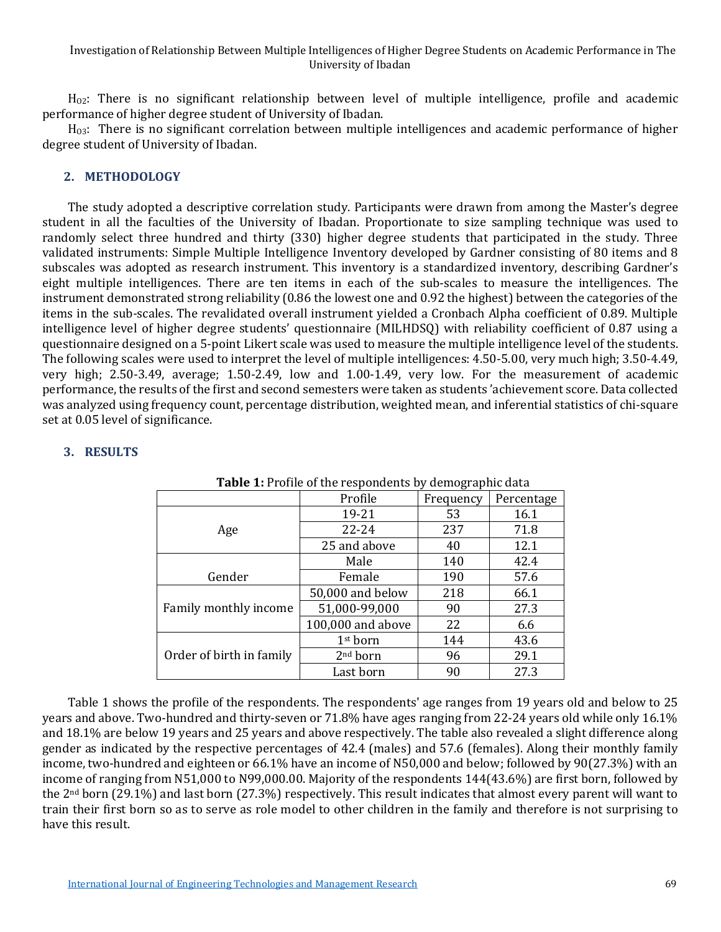HO2: There is no significant relationship between level of multiple intelligence, profile and academic performance of higher degree student of University of Ibadan.

 $H<sub>03</sub>$ : There is no significant correlation between multiple intelligences and academic performance of higher degree student of University of Ibadan.

#### **2. METHODOLOGY**

The study adopted a descriptive correlation study. Participants were drawn from among the Master's degree student in all the faculties of the University of Ibadan. Proportionate to size sampling technique was used to randomly select three hundred and thirty (330) higher degree students that participated in the study. Three validated instruments: Simple Multiple Intelligence Inventory developed by Gardner consisting of 80 items and 8 subscales was adopted as research instrument. This inventory is a standardized inventory, describing Gardner's eight multiple intelligences. There are ten items in each of the sub-scales to measure the intelligences. The instrument demonstrated strong reliability (0.86 the lowest one and 0.92 the highest) between the categories of the items in the sub-scales. The revalidated overall instrument yielded a Cronbach Alpha coefficient of 0.89. Multiple intelligence level of higher degree students' questionnaire (MILHDSQ) with reliability coefficient of 0.87 using a questionnaire designed on a 5-point Likert scale was used to measure the multiple intelligence level of the students. The following scales were used to interpret the level of multiple intelligences: 4.50-5.00, very much high; 3.50-4.49, very high; 2.50-3.49, average; 1.50-2.49, low and 1.00-1.49, very low. For the measurement of academic performance, the results of the first and second semesters were taken as students 'achievement score. Data collected was analyzed using frequency count, percentage distribution, weighted mean, and inferential statistics of chi-square set at 0.05 level of significance.

## **3. RESULTS**

|                                                             | Profile              |           |            |
|-------------------------------------------------------------|----------------------|-----------|------------|
|                                                             |                      | Frequency | Percentage |
|                                                             | 19-21                | 53        | 16.1       |
| Age                                                         | 22-24                | 237       | 71.8       |
| Gender<br>Family monthly income<br>Order of birth in family | 25 and above         | 40        | 12.1       |
|                                                             | Male                 | 140       | 42.4       |
|                                                             | Female               | 190       | 57.6       |
|                                                             | 50,000 and below     | 218       | 66.1       |
|                                                             | 51,000-99,000        | 90        | 27.3       |
|                                                             | 100,000 and above    | 22        | 6.6        |
|                                                             | 1 <sup>st</sup> born | 144       | 43.6       |
|                                                             | 2 <sup>nd</sup> born | 96        | 29.1       |
|                                                             | Last born            | 90        | 27.3       |

**Table 1:** Profile of the respondents by demographic data

Table 1 shows the profile of the respondents. The respondents' age ranges from 19 years old and below to 25 years and above. Two-hundred and thirty-seven or 71.8% have ages ranging from 22-24 years old while only 16.1% and 18.1% are below 19 years and 25 years and above respectively. The table also revealed a slight difference along gender as indicated by the respective percentages of 42.4 (males) and 57.6 (females). Along their monthly family income, two-hundred and eighteen or 66.1% have an income of N50,000 and below; followed by 90(27.3%) with an income of ranging from N51,000 to N99,000.00. Majority of the respondents 144(43.6%) are first born, followed by the 2nd born (29.1%) and last born (27.3%) respectively. This result indicates that almost every parent will want to train their first born so as to serve as role model to other children in the family and therefore is not surprising to have this result.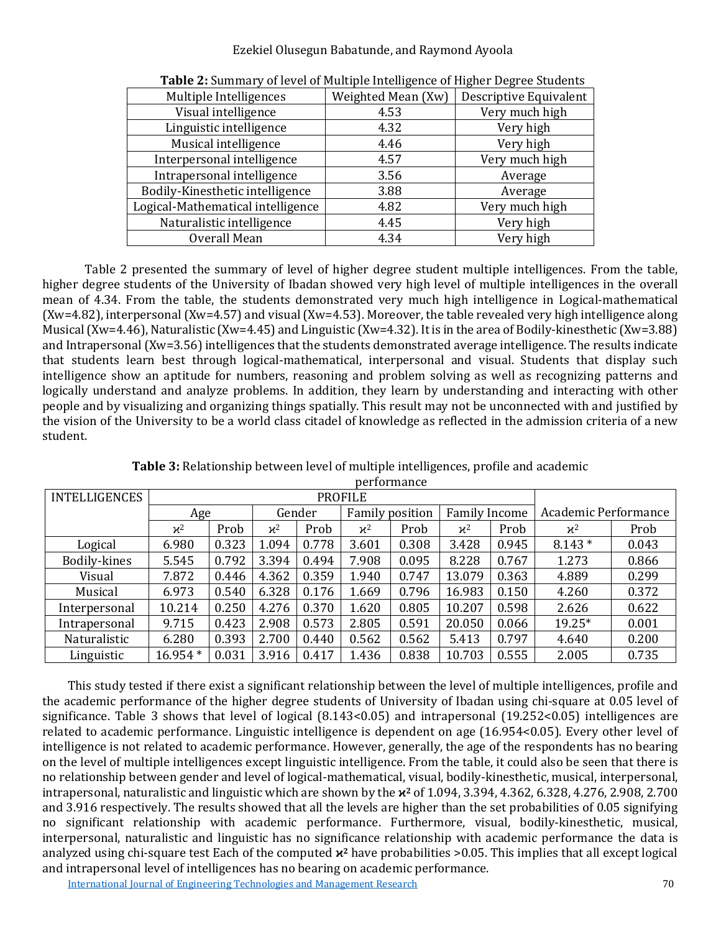#### Ezekiel Olusegun Babatunde, and Raymond Ayoola

| Multiple Intelligences            | Weighted Mean (Xw) | Descriptive Equivalent |
|-----------------------------------|--------------------|------------------------|
| Visual intelligence               | 4.53               | Very much high         |
| Linguistic intelligence           | 4.32               | Very high              |
| Musical intelligence              | 4.46               | Very high              |
| Interpersonal intelligence        | 4.57               | Very much high         |
| Intrapersonal intelligence        | 3.56               | Average                |
| Bodily-Kinesthetic intelligence   | 3.88               | Average                |
| Logical-Mathematical intelligence | 4.82               | Very much high         |
| Naturalistic intelligence         | 4.45               | Very high              |
| Overall Mean                      | 4.34               | Very high              |
|                                   |                    |                        |

**Table 2:** Summary of level of Multiple Intelligence of Higher Degree Students

Table 2 presented the summary of level of higher degree student multiple intelligences. From the table, higher degree students of the University of Ibadan showed very high level of multiple intelligences in the overall mean of 4.34. From the table, the students demonstrated very much high intelligence in Logical-mathematical (Xw=4.82), interpersonal (Xw=4.57) and visual (Xw=4.53). Moreover, the table revealed very high intelligence along Musical (Xw=4.46), Naturalistic (Xw=4.45) and Linguistic (Xw=4.32). It is in the area of Bodily-kinesthetic (Xw=3.88) and Intrapersonal (Xw=3.56) intelligences that the students demonstrated average intelligence. The results indicate that students learn best through logical-mathematical, interpersonal and visual. Students that display such intelligence show an aptitude for numbers, reasoning and problem solving as well as recognizing patterns and logically understand and analyze problems. In addition, they learn by understanding and interacting with other people and by visualizing and organizing things spatially. This result may not be unconnected with and justified by the vision of the University to be a world class citadel of knowledge as reflected in the admission criteria of a new student.

| <b>INTELLIGENCES</b> | <b>PROFILE</b>  |       |                 |       |                        |       |                      |       |                      |       |
|----------------------|-----------------|-------|-----------------|-------|------------------------|-------|----------------------|-------|----------------------|-------|
|                      | Age             |       | Gender          |       | <b>Family position</b> |       | <b>Family Income</b> |       | Academic Performance |       |
|                      | $\mathcal{H}^2$ | Prob  | $\mathcal{H}^2$ | Prob  | $\varkappa^2$          | Prob  | $\varkappa^2$        | Prob  | $\mathcal{H}^2$      | Prob  |
| Logical              | 6.980           | 0.323 | 1.094           | 0.778 | 3.601                  | 0.308 | 3.428                | 0.945 | $8.143*$             | 0.043 |
| Bodily-kines         | 5.545           | 0.792 | 3.394           | 0.494 | 7.908                  | 0.095 | 8.228                | 0.767 | 1.273                | 0.866 |
| Visual               | 7.872           | 0.446 | 4.362           | 0.359 | 1.940                  | 0.747 | 13.079               | 0.363 | 4.889                | 0.299 |
| Musical              | 6.973           | 0.540 | 6.328           | 0.176 | 1.669                  | 0.796 | 16.983               | 0.150 | 4.260                | 0.372 |
| Interpersonal        | 10.214          | 0.250 | 4.276           | 0.370 | 1.620                  | 0.805 | 10.207               | 0.598 | 2.626                | 0.622 |
| Intrapersonal        | 9.715           | 0.423 | 2.908           | 0.573 | 2.805                  | 0.591 | 20.050               | 0.066 | 19.25*               | 0.001 |
| Naturalistic         | 6.280           | 0.393 | 2.700           | 0.440 | 0.562                  | 0.562 | 5.413                | 0.797 | 4.640                | 0.200 |
| Linguistic           | $16.954*$       | 0.031 | 3.916           | 0.417 | 1.436                  | 0.838 | 10.703               | 0.555 | 2.005                | 0.735 |

**Table 3:** Relationship between level of multiple intelligences, profile and academic performance

This study tested if there exist a significant relationship between the level of multiple intelligences, profile and the academic performance of the higher degree students of University of Ibadan using chi-square at 0.05 level of significance. Table 3 shows that level of logical (8.143<0.05) and intrapersonal (19.252<0.05) intelligences are related to academic performance. Linguistic intelligence is dependent on age (16.954<0.05). Every other level of intelligence is not related to academic performance. However, generally, the age of the respondents has no bearing on the level of multiple intelligences except linguistic intelligence. From the table, it could also be seen that there is no relationship between gender and level of logical-mathematical, visual, bodily-kinesthetic, musical, interpersonal, intrapersonal, naturalistic and linguistic which are shown by the **ϰ<sup>2</sup>** of 1.094, 3.394, 4.362, 6.328, 4.276, 2.908, 2.700 and 3.916 respectively. The results showed that all the levels are higher than the set probabilities of 0.05 signifying no significant relationship with academic performance. Furthermore, visual, bodily-kinesthetic, musical, interpersonal, naturalistic and linguistic has no significance relationship with academic performance the data is analyzed using chi-square test Each of the computed **ϰ<sup>2</sup>** have probabilities >0.05. This implies that all except logical and intrapersonal level of intelligences has no bearing on academic performance.

[International Journal of Engineering Technologies and Management Research](https://www.granthaalayahpublication.org/ijetmr-ojms/index.php/ijetmr) 70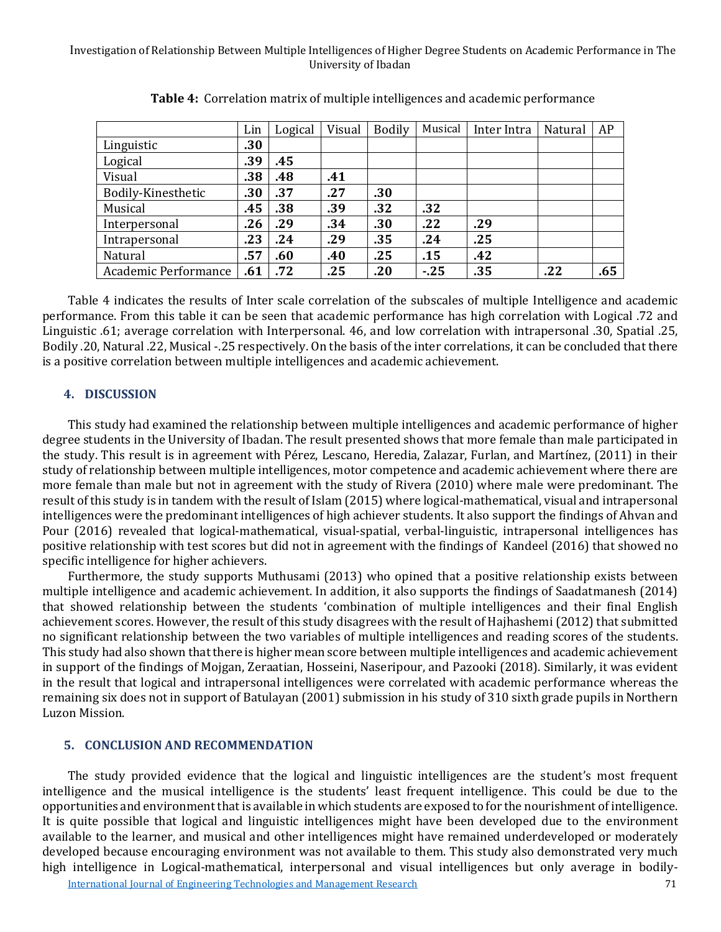|                      | Lin | Logical | Visual | <b>Bodily</b> | Musical | Inter Intra | Natural | AP  |
|----------------------|-----|---------|--------|---------------|---------|-------------|---------|-----|
| Linguistic           | .30 |         |        |               |         |             |         |     |
| Logical              | .39 | .45     |        |               |         |             |         |     |
| Visual               | .38 | .48     | .41    |               |         |             |         |     |
| Bodily-Kinesthetic   | .30 | .37     | .27    | .30           |         |             |         |     |
| Musical              | .45 | .38     | .39    | .32           | .32     |             |         |     |
| Interpersonal        | .26 | .29     | .34    | .30           | .22     | .29         |         |     |
| Intrapersonal        | .23 | .24     | .29    | .35           | .24     | .25         |         |     |
| Natural              | .57 | .60     | .40    | .25           | .15     | .42         |         |     |
| Academic Performance | .61 | .72     | .25    | .20           | $-25$   | .35         | .22     | .65 |

**Table 4:** Correlation matrix of multiple intelligences and academic performance

Table 4 indicates the results of Inter scale correlation of the subscales of multiple Intelligence and academic performance. From this table it can be seen that academic performance has high correlation with Logical .72 and Linguistic .61; average correlation with Interpersonal. 46, and low correlation with intrapersonal .30, Spatial .25, Bodily .20, Natural .22, Musical -.25 respectively. On the basis of the inter correlations, it can be concluded that there is a positive correlation between multiple intelligences and academic achievement.

#### **4. DISCUSSION**

This study had examined the relationship between multiple intelligences and academic performance of higher degree students in the University of Ibadan. The result presented shows that more female than male participated in the study. This result is in agreement with Pérez, Lescano, Heredia, Zalazar, Furlan, and Martínez, (2011) in their study of relationship between multiple intelligences, motor competence and academic achievement where there are more female than male but not in agreement with the study of Rivera (2010) where male were predominant. The result of this study is in tandem with the result of Islam (2015) where logical-mathematical, visual and intrapersonal intelligences were the predominant intelligences of high achiever students. It also support the findings of Ahvan and Pour (2016) revealed that logical-mathematical, visual-spatial, verbal-linguistic, intrapersonal intelligences has positive relationship with test scores but did not in agreement with the findings of Kandeel (2016) that showed no specific intelligence for higher achievers.

Furthermore, the study supports Muthusami (2013) who opined that a positive relationship exists between multiple intelligence and academic achievement. In addition, it also supports the findings of Saadatmanesh (2014) that showed relationship between the students 'combination of multiple intelligences and their final English achievement scores. However, the result of this study disagrees with the result of Hajhashemi (2012) that submitted no significant relationship between the two variables of multiple intelligences and reading scores of the students. This study had also shown that there is higher mean score between multiple intelligences and academic achievement in support of the findings of Mojgan, Zeraatian, Hosseini, Naseripour, and Pazooki (2018). Similarly, it was evident in the result that logical and intrapersonal intelligences were correlated with academic performance whereas the remaining six does not in support of Batulayan (2001) submission in his study of 310 sixth grade pupils in Northern Luzon Mission.

#### **5. CONCLUSION AND RECOMMENDATION**

The study provided evidence that the logical and linguistic intelligences are the student's most frequent intelligence and the musical intelligence is the students' least frequent intelligence. This could be due to the opportunities and environment that is available in which students are exposed to for the nourishment of intelligence. It is quite possible that logical and linguistic intelligences might have been developed due to the environment available to the learner, and musical and other intelligences might have remained underdeveloped or moderately developed because encouraging environment was not available to them. This study also demonstrated very much high intelligence in Logical-mathematical, interpersonal and visual intelligences but only average in bodily-